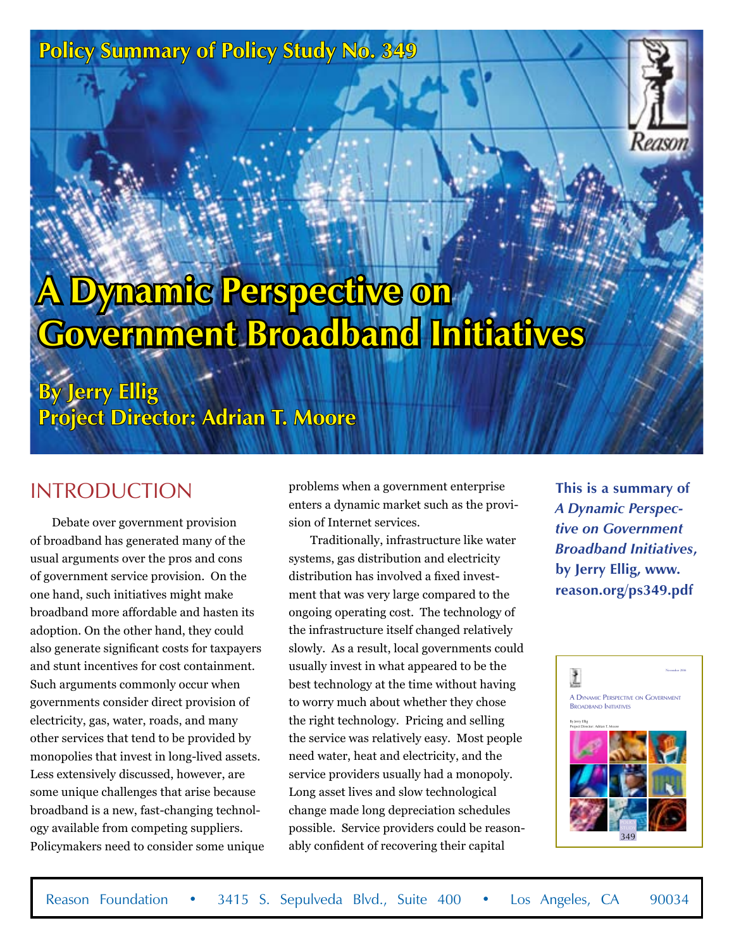# **Policy Summary of Policy Study No. 349**



# **Dynamic Perspective on Government Broadband Initiatives**

**By Jerry Ellig Project Director: Adrian T. Moore**

### **INTRODUCTION**

Debate over government provision of broadband has generated many of the usual arguments over the pros and cons of government service provision. On the one hand, such initiatives might make broadband more affordable and hasten its adoption. On the other hand, they could also generate significant costs for taxpayers and stunt incentives for cost containment. Such arguments commonly occur when governments consider direct provision of electricity, gas, water, roads, and many other services that tend to be provided by monopolies that invest in long-lived assets. Less extensively discussed, however, are some unique challenges that arise because broadband is a new, fast-changing technology available from competing suppliers. Policymakers need to consider some unique problems when a government enterprise enters a dynamic market such as the provision of Internet services.

Traditionally, infrastructure like water systems, gas distribution and electricity distribution has involved a fixed investment that was very large compared to the ongoing operating cost. The technology of the infrastructure itself changed relatively slowly. As a result, local governments could usually invest in what appeared to be the best technology at the time without having to worry much about whether they chose the right technology. Pricing and selling the service was relatively easy. Most people need water, heat and electricity, and the service providers usually had a monopoly. Long asset lives and slow technological change made long depreciation schedules possible. Service providers could be reasonably confident of recovering their capital

**This is a summary of**  *A Dynamic Perspective on Government Broadband Initiatives***, by Jerry Ellig, www. reason.org/ps349.pdf**

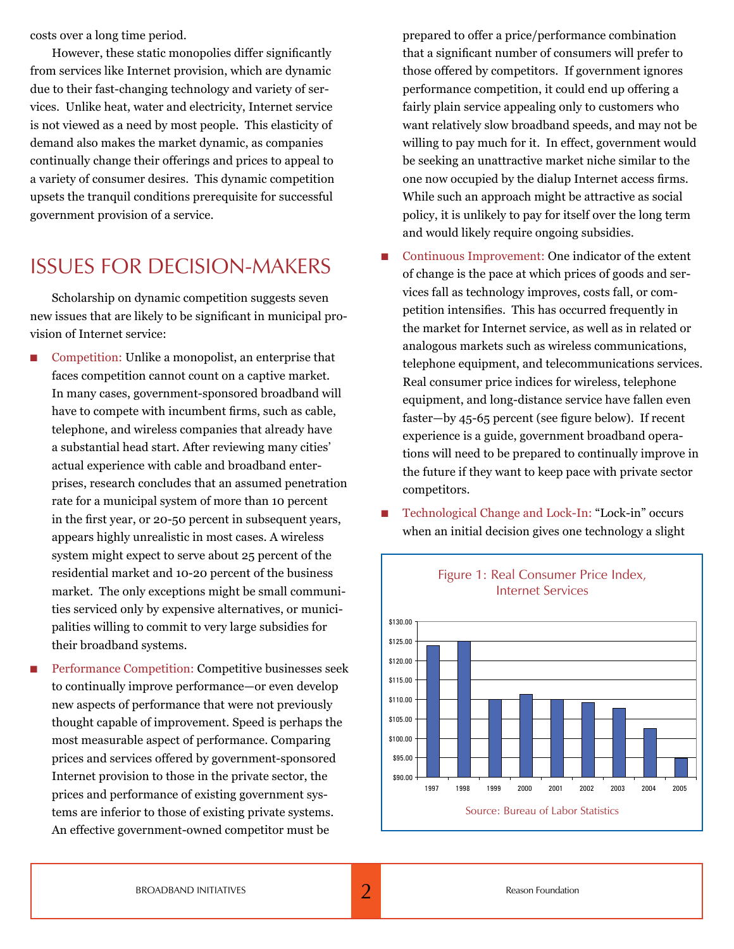costs over a long time period.

However, these static monopolies differ significantly from services like Internet provision, which are dynamic due to their fast-changing technology and variety of services. Unlike heat, water and electricity, Internet service is not viewed as a need by most people. This elasticity of demand also makes the market dynamic, as companies continually change their offerings and prices to appeal to a variety of consumer desires. This dynamic competition upsets the tranquil conditions prerequisite for successful government provision of a service.

### ISSUES FOR DECISION-MAKERS

Scholarship on dynamic competition suggests seven new issues that are likely to be significant in municipal provision of Internet service:

- Competition: Unlike a monopolist, an enterprise that faces competition cannot count on a captive market. In many cases, government-sponsored broadband will have to compete with incumbent firms, such as cable, telephone, and wireless companies that already have a substantial head start. After reviewing many cities' actual experience with cable and broadband enterprises, research concludes that an assumed penetration rate for a municipal system of more than 10 percent in the first year, or 20-50 percent in subsequent years, appears highly unrealistic in most cases. A wireless system might expect to serve about 25 percent of the residential market and 10-20 percent of the business market. The only exceptions might be small communities serviced only by expensive alternatives, or municipalities willing to commit to very large subsidies for their broadband systems.
- n Performance Competition: Competitive businesses seek to continually improve performance—or even develop new aspects of performance that were not previously thought capable of improvement. Speed is perhaps the most measurable aspect of performance. Comparing prices and services offered by government-sponsored Internet provision to those in the private sector, the prices and performance of existing government systems are inferior to those of existing private systems. An effective government-owned competitor must be

prepared to offer a price/performance combination that a significant number of consumers will prefer to those offered by competitors. If government ignores performance competition, it could end up offering a fairly plain service appealing only to customers who want relatively slow broadband speeds, and may not be willing to pay much for it. In effect, government would be seeking an unattractive market niche similar to the one now occupied by the dialup Internet access firms. While such an approach might be attractive as social policy, it is unlikely to pay for itself over the long term and would likely require ongoing subsidies.

- Continuous Improvement: One indicator of the extent of change is the pace at which prices of goods and services fall as technology improves, costs fall, or competition intensifies. This has occurred frequently in the market for Internet service, as well as in related or analogous markets such as wireless communications, telephone equipment, and telecommunications services. Real consumer price indices for wireless, telephone equipment, and long-distance service have fallen even faster—by 45-65 percent (see figure below). If recent experience is a guide, government broadband operations will need to be prepared to continually improve in the future if they want to keep pace with private sector competitors.
- Technological Change and Lock-In: "Lock-in" occurs when an initial decision gives one technology a slight



#### Figure 1: Real Consumer Price Index, Internet Services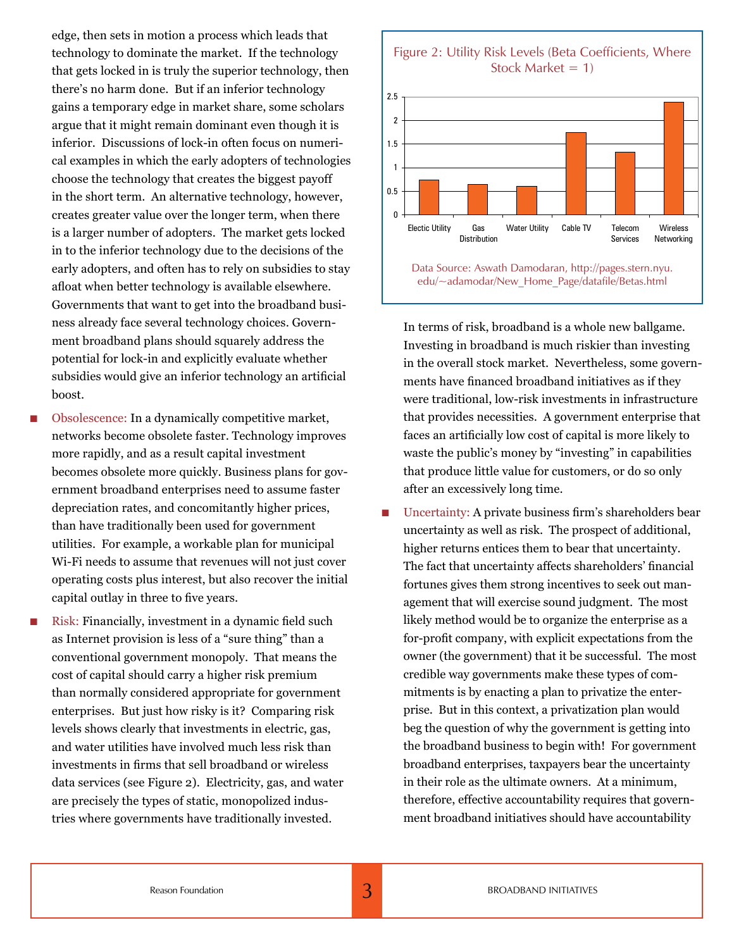edge, then sets in motion a process which leads that technology to dominate the market. If the technology that gets locked in is truly the superior technology, then there's no harm done. But if an inferior technology gains a temporary edge in market share, some scholars argue that it might remain dominant even though it is inferior. Discussions of lock-in often focus on numerical examples in which the early adopters of technologies choose the technology that creates the biggest payoff in the short term. An alternative technology, however, creates greater value over the longer term, when there is a larger number of adopters. The market gets locked in to the inferior technology due to the decisions of the early adopters, and often has to rely on subsidies to stay afloat when better technology is available elsewhere. Governments that want to get into the broadband business already face several technology choices. Government broadband plans should squarely address the potential for lock-in and explicitly evaluate whether subsidies would give an inferior technology an artificial boost.

- Obsolescence: In a dynamically competitive market, networks become obsolete faster. Technology improves more rapidly, and as a result capital investment becomes obsolete more quickly. Business plans for government broadband enterprises need to assume faster depreciation rates, and concomitantly higher prices, than have traditionally been used for government utilities. For example, a workable plan for municipal Wi-Fi needs to assume that revenues will not just cover operating costs plus interest, but also recover the initial capital outlay in three to five years.
- Risk: Financially, investment in a dynamic field such as Internet provision is less of a "sure thing" than a conventional government monopoly. That means the cost of capital should carry a higher risk premium than normally considered appropriate for government enterprises. But just how risky is it? Comparing risk levels shows clearly that investments in electric, gas, and water utilities have involved much less risk than investments in firms that sell broadband or wireless data services (see Figure 2). Electricity, gas, and water are precisely the types of static, monopolized industries where governments have traditionally invested.



In terms of risk, broadband is a whole new ballgame. Investing in broadband is much riskier than investing in the overall stock market. Nevertheless, some governments have financed broadband initiatives as if they were traditional, low-risk investments in infrastructure that provides necessities. A government enterprise that faces an artificially low cost of capital is more likely to waste the public's money by "investing" in capabilities that produce little value for customers, or do so only after an excessively long time.

n Uncertainty: A private business firm's shareholders bear uncertainty as well as risk. The prospect of additional, higher returns entices them to bear that uncertainty. The fact that uncertainty affects shareholders' financial fortunes gives them strong incentives to seek out management that will exercise sound judgment. The most likely method would be to organize the enterprise as a for-profit company, with explicit expectations from the owner (the government) that it be successful. The most credible way governments make these types of commitments is by enacting a plan to privatize the enterprise. But in this context, a privatization plan would beg the question of why the government is getting into the broadband business to begin with! For government broadband enterprises, taxpayers bear the uncertainty in their role as the ultimate owners. At a minimum, therefore, effective accountability requires that government broadband initiatives should have accountability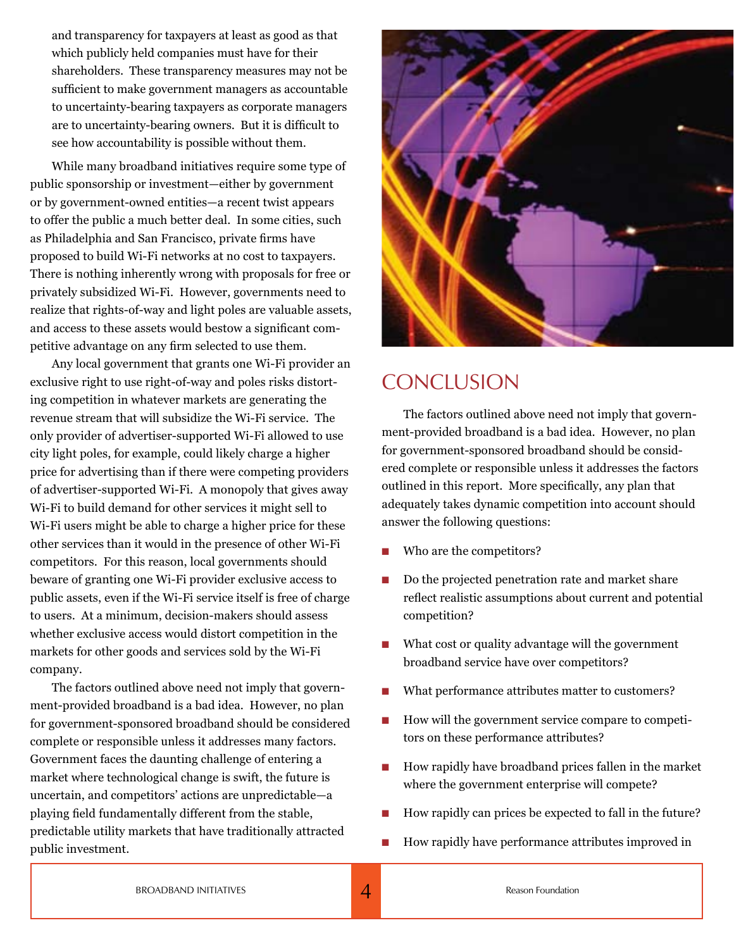and transparency for taxpayers at least as good as that which publicly held companies must have for their shareholders. These transparency measures may not be sufficient to make government managers as accountable to uncertainty-bearing taxpayers as corporate managers are to uncertainty-bearing owners. But it is difficult to see how accountability is possible without them.

While many broadband initiatives require some type of public sponsorship or investment—either by government or by government-owned entities—a recent twist appears to offer the public a much better deal. In some cities, such as Philadelphia and San Francisco, private firms have proposed to build Wi-Fi networks at no cost to taxpayers. There is nothing inherently wrong with proposals for free or privately subsidized Wi-Fi. However, governments need to realize that rights-of-way and light poles are valuable assets, and access to these assets would bestow a significant competitive advantage on any firm selected to use them.

Any local government that grants one Wi-Fi provider an exclusive right to use right-of-way and poles risks distorting competition in whatever markets are generating the revenue stream that will subsidize the Wi-Fi service. The only provider of advertiser-supported Wi-Fi allowed to use city light poles, for example, could likely charge a higher price for advertising than if there were competing providers of advertiser-supported Wi-Fi. A monopoly that gives away Wi-Fi to build demand for other services it might sell to Wi-Fi users might be able to charge a higher price for these other services than it would in the presence of other Wi-Fi competitors. For this reason, local governments should beware of granting one Wi-Fi provider exclusive access to public assets, even if the Wi-Fi service itself is free of charge to users. At a minimum, decision-makers should assess whether exclusive access would distort competition in the markets for other goods and services sold by the Wi-Fi company.

The factors outlined above need not imply that government-provided broadband is a bad idea. However, no plan for government-sponsored broadband should be considered complete or responsible unless it addresses many factors. Government faces the daunting challenge of entering a market where technological change is swift, the future is uncertain, and competitors' actions are unpredictable—a playing field fundamentally different from the stable, predictable utility markets that have traditionally attracted public investment.



### **CONCLUSION**

The factors outlined above need not imply that government-provided broadband is a bad idea. However, no plan for government-sponsored broadband should be considered complete or responsible unless it addresses the factors outlined in this report. More specifically, any plan that adequately takes dynamic competition into account should answer the following questions:

- Who are the competitors?
- Do the projected penetration rate and market share reflect realistic assumptions about current and potential competition?
- What cost or quality advantage will the government broadband service have over competitors?
- What performance attributes matter to customers?
- $\blacksquare$  How will the government service compare to competitors on these performance attributes?
- $\blacksquare$  How rapidly have broadband prices fallen in the market where the government enterprise will compete?
- How rapidly can prices be expected to fall in the future?
- How rapidly have performance attributes improved in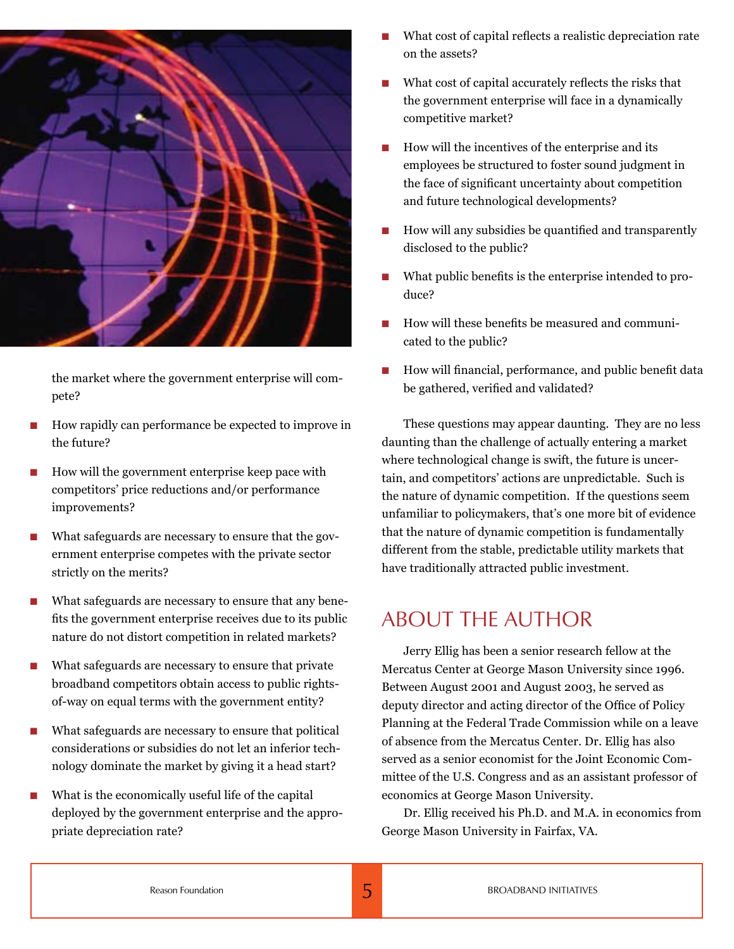

the market where the government enterprise will compete?

- n How rapidly can performance be expected to improve in the future?
- How will the government enterprise keep pace with competitors' price reductions and/or performance improvements?
- What safeguards are necessary to ensure that the government enterprise competes with the private sector strictly on the merits?
- What safeguards are necessary to ensure that any benefits the government enterprise receives due to its public nature do not distort competition in related markets?
- What safeguards are necessary to ensure that private broadband competitors obtain access to public rightsof-way on equal terms with the government entity?
- $\blacksquare$  What safeguards are necessary to ensure that political considerations or subsidies do not let an inferior technology dominate the market by giving it a head start?
- What is the economically useful life of the capital deployed by the government enterprise and the appropriate depreciation rate?
- What cost of capital reflects a realistic depreciation rate on the assets?
- n What cost of capital accurately reflects the risks that the government enterprise will face in a dynamically competitive market?
- How will the incentives of the enterprise and its employees be structured to foster sound judgment in the face of significant uncertainty about competition and future technological developments?
- How will any subsidies be quantified and transparently disclosed to the public?
- What public benefits is the enterprise intended to produce?
- How will these benefits be measured and communicated to the public?
- $\blacksquare$  How will financial, performance, and public benefit data be gathered, verified and validated?

These questions may appear daunting. They are no less daunting than the challenge of actually entering a market where technological change is swift, the future is uncertain, and competitors' actions are unpredictable. Such is the nature of dynamic competition. If the questions seem unfamiliar to policymakers, that's one more bit of evidence that the nature of dynamic competition is fundamentally different from the stable, predictable utility markets that have traditionally attracted public investment.

### ABOUT THE AUTHOR

Jerry Ellig has been a senior research fellow at the Mercatus Center at George Mason University since 1996. Between August 2001 and August 2003, he served as deputy director and acting director of the Office of Policy Planning at the Federal Trade Commission while on a leave of absence from the Mercatus Center. Dr. Ellig has also served as a senior economist for the Joint Economic Committee of the U.S. Congress and as an assistant professor of economics at George Mason University.

Dr. Ellig received his Ph.D. and M.A. in economics from George Mason University in Fairfax, VA.